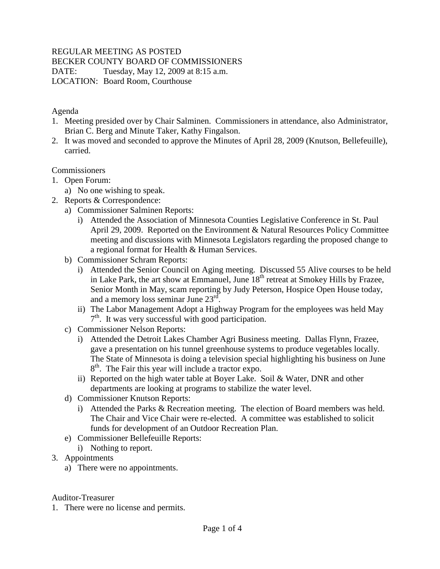## REGULAR MEETING AS POSTED

BECKER COUNTY BOARD OF COMMISSIONERS

DATE: Tuesday, May 12, 2009 at 8:15 a.m.

LOCATION: Board Room, Courthouse

#### Agenda

- 1. Meeting presided over by Chair Salminen. Commissioners in attendance, also Administrator, Brian C. Berg and Minute Taker, Kathy Fingalson.
- 2. It was moved and seconded to approve the Minutes of April 28, 2009 (Knutson, Bellefeuille), carried.

# **Commissioners**

- 1. Open Forum:
	- a) No one wishing to speak.
- 2. Reports & Correspondence:
	- a) Commissioner Salminen Reports:
		- i) Attended the Association of Minnesota Counties Legislative Conference in St. Paul April 29, 2009. Reported on the Environment & Natural Resources Policy Committee meeting and discussions with Minnesota Legislators regarding the proposed change to a regional format for Health & Human Services.
	- b) Commissioner Schram Reports:
		- i) Attended the Senior Council on Aging meeting. Discussed 55 Alive courses to be held in Lake Park, the art show at Emmanuel, June  $18<sup>th</sup>$  retreat at Smokey Hills by Frazee, Senior Month in May, scam reporting by Judy Peterson, Hospice Open House today, and a memory loss seminar June 23rd.
		- ii) The Labor Management Adopt a Highway Program for the employees was held May 7<sup>th</sup>. It was very successful with good participation.
	- c) Commissioner Nelson Reports:
		- i) Attended the Detroit Lakes Chamber Agri Business meeting. Dallas Flynn, Frazee, gave a presentation on his tunnel greenhouse systems to produce vegetables locally. The State of Minnesota is doing a television special highlighting his business on June 8<sup>th</sup>. The Fair this year will include a tractor expo.
		- ii) Reported on the high water table at Boyer Lake. Soil & Water, DNR and other departments are looking at programs to stabilize the water level.
	- d) Commissioner Knutson Reports:
		- i) Attended the Parks & Recreation meeting. The election of Board members was held. The Chair and Vice Chair were re-elected. A committee was established to solicit funds for development of an Outdoor Recreation Plan.
	- e) Commissioner Bellefeuille Reports:
	- i) Nothing to report.
- 3. Appointments
	- a) There were no appointments.

#### Auditor-Treasurer

1. There were no license and permits.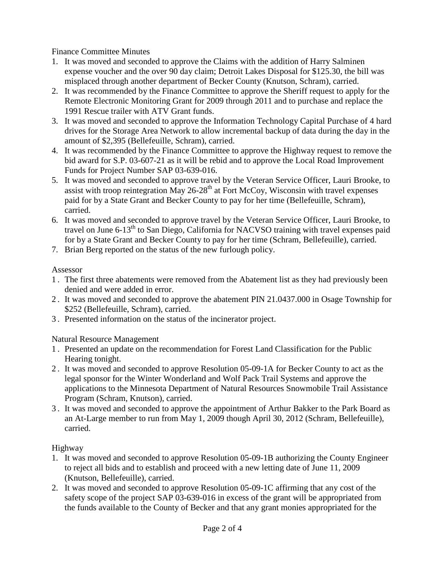Finance Committee Minutes

- 1. It was moved and seconded to approve the Claims with the addition of Harry Salminen expense voucher and the over 90 day claim; Detroit Lakes Disposal for \$125.30, the bill was misplaced through another department of Becker County (Knutson, Schram), carried.
- 2. It was recommended by the Finance Committee to approve the Sheriff request to apply for the Remote Electronic Monitoring Grant for 2009 through 2011 and to purchase and replace the 1991 Rescue trailer with ATV Grant funds.
- 3. It was moved and seconded to approve the Information Technology Capital Purchase of 4 hard drives for the Storage Area Network to allow incremental backup of data during the day in the amount of \$2,395 (Bellefeuille, Schram), carried.
- 4. It was recommended by the Finance Committee to approve the Highway request to remove the bid award for S.P. 03-607-21 as it will be rebid and to approve the Local Road Improvement Funds for Project Number SAP 03-639-016.
- 5. It was moved and seconded to approve travel by the Veteran Service Officer, Lauri Brooke, to assist with troop reintegration May  $26-28$ <sup>th</sup> at Fort McCoy, Wisconsin with travel expenses paid for by a State Grant and Becker County to pay for her time (Bellefeuille, Schram), carried.
- 6. It was moved and seconded to approve travel by the Veteran Service Officer, Lauri Brooke, to travel on June 6-13<sup>th</sup> to San Diego, California for NACVSO training with travel expenses paid for by a State Grant and Becker County to pay for her time (Schram, Bellefeuille), carried.
- 7. Brian Berg reported on the status of the new furlough policy.

### Assessor

- 1 . The first three abatements were removed from the Abatement list as they had previously been denied and were added in error.
- 2 . It was moved and seconded to approve the abatement PIN 21.0437.000 in Osage Township for \$252 (Bellefeuille, Schram), carried.
- 3 . Presented information on the status of the incinerator project.

Natural Resource Management

- 1 . Presented an update on the recommendation for Forest Land Classification for the Public Hearing tonight.
- 2 . It was moved and seconded to approve Resolution 05-09-1A for Becker County to act as the legal sponsor for the Winter Wonderland and Wolf Pack Trail Systems and approve the applications to the Minnesota Department of Natural Resources Snowmobile Trail Assistance Program (Schram, Knutson), carried.
- 3 . It was moved and seconded to approve the appointment of Arthur Bakker to the Park Board as an At-Large member to run from May 1, 2009 though April 30, 2012 (Schram, Bellefeuille), carried.

Highway

- 1. It was moved and seconded to approve Resolution 05-09-1B authorizing the County Engineer to reject all bids and to establish and proceed with a new letting date of June 11, 2009 (Knutson, Bellefeuille), carried.
- 2. It was moved and seconded to approve Resolution 05-09-1C affirming that any cost of the safety scope of the project SAP 03-639-016 in excess of the grant will be appropriated from the funds available to the County of Becker and that any grant monies appropriated for the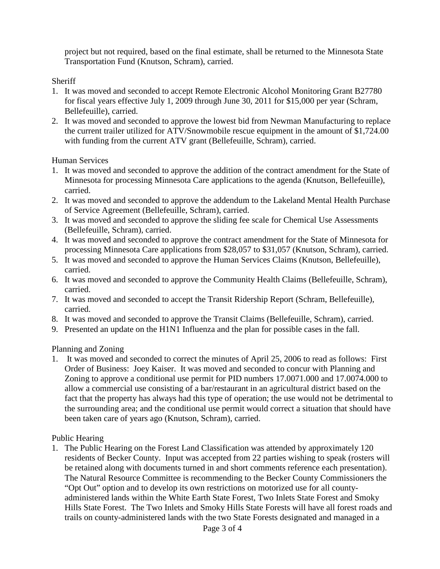project but not required, based on the final estimate, shall be returned to the Minnesota State Transportation Fund (Knutson, Schram), carried.

Sheriff

- 1. It was moved and seconded to accept Remote Electronic Alcohol Monitoring Grant B27780 for fiscal years effective July 1, 2009 through June 30, 2011 for \$15,000 per year (Schram, Bellefeuille), carried.
- 2. It was moved and seconded to approve the lowest bid from Newman Manufacturing to replace the current trailer utilized for ATV/Snowmobile rescue equipment in the amount of \$1,724.00 with funding from the current ATV grant (Bellefeuille, Schram), carried.

Human Services

- 1. It was moved and seconded to approve the addition of the contract amendment for the State of Minnesota for processing Minnesota Care applications to the agenda (Knutson, Bellefeuille), carried.
- 2. It was moved and seconded to approve the addendum to the Lakeland Mental Health Purchase of Service Agreement (Bellefeuille, Schram), carried.
- 3. It was moved and seconded to approve the sliding fee scale for Chemical Use Assessments (Bellefeuille, Schram), carried.
- 4. It was moved and seconded to approve the contract amendment for the State of Minnesota for processing Minnesota Care applications from \$28,057 to \$31,057 (Knutson, Schram), carried.
- 5. It was moved and seconded to approve the Human Services Claims (Knutson, Bellefeuille), carried.
- 6. It was moved and seconded to approve the Community Health Claims (Bellefeuille, Schram), carried.
- 7. It was moved and seconded to accept the Transit Ridership Report (Schram, Bellefeuille), carried.
- 8. It was moved and seconded to approve the Transit Claims (Bellefeuille, Schram), carried.
- 9. Presented an update on the H1N1 Influenza and the plan for possible cases in the fall.

Planning and Zoning

1. It was moved and seconded to correct the minutes of April 25, 2006 to read as follows: First Order of Business: Joey Kaiser. It was moved and seconded to concur with Planning and Zoning to approve a conditional use permit for PID numbers 17.0071.000 and 17.0074.000 to allow a commercial use consisting of a bar/restaurant in an agricultural district based on the fact that the property has always had this type of operation; the use would not be detrimental to the surrounding area; and the conditional use permit would correct a situation that should have been taken care of years ago (Knutson, Schram), carried.

Public Hearing

1. The Public Hearing on the Forest Land Classification was attended by approximately 120 residents of Becker County. Input was accepted from 22 parties wishing to speak (rosters will be retained along with documents turned in and short comments reference each presentation). The Natural Resource Committee is recommending to the Becker County Commissioners the "Opt Out" option and to develop its own restrictions on motorized use for all countyadministered lands within the White Earth State Forest, Two Inlets State Forest and Smoky Hills State Forest. The Two Inlets and Smoky Hills State Forests will have all forest roads and trails on county-administered lands with the two State Forests designated and managed in a